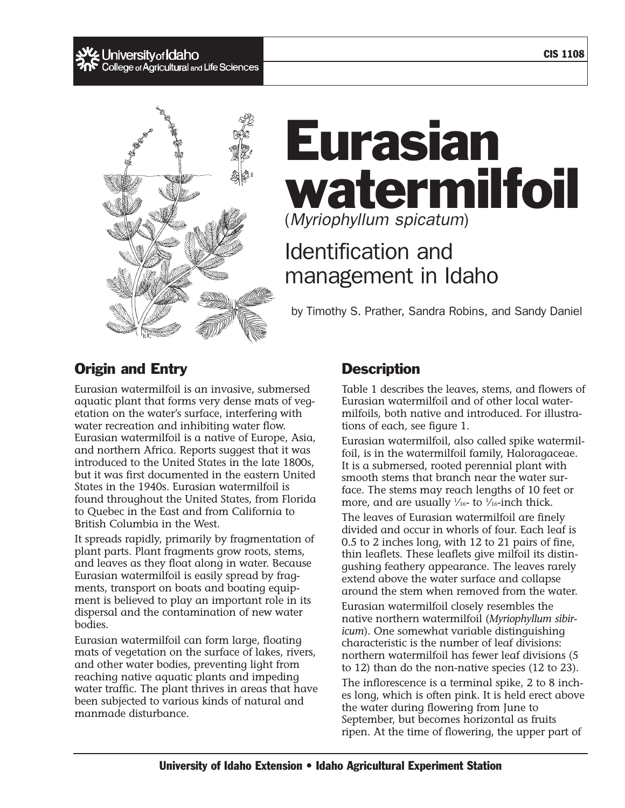CIS 1108

# , **University of Idaho**<br>College of Agricultural and Life Sciences



# Eurasian watermilfoil (*Myriophyllum spicatum*)

# Identification and management in Idaho

by Timothy S. Prather, Sandra Robins, and Sandy Daniel

# Origin and Entry

Eurasian watermilfoil is an invasive, submersed aquatic plant that forms very dense mats of vegetation on the water's surface, interfering with water recreation and inhibiting water flow. Eurasian watermilfoil is a native of Europe, Asia, and northern Africa. Reports suggest that it was introduced to the United States in the late 1800s, but it was first documented in the eastern United States in the 1940s. Eurasian watermilfoil is found throughout the United States, from Florida to Quebec in the East and from California to British Columbia in the West.

It spreads rapidly, primarily by fragmentation of plant parts. Plant fragments grow roots, stems, and leaves as they float along in water. Because Eurasian watermilfoil is easily spread by fragments, transport on boats and boating equipment is believed to play an important role in its dispersal and the contamination of new water bodies.

Eurasian watermilfoil can form large, floating mats of vegetation on the surface of lakes, rivers, and other water bodies, preventing light from reaching native aquatic plants and impeding water traffic. The plant thrives in areas that have been subjected to various kinds of natural and manmade disturbance.

# **Description**

Table 1 describes the leaves, stems, and flowers of Eurasian watermilfoil and of other local watermilfoils, both native and introduced. For illustrations of each, see figure 1.

Eurasian watermilfoil, also called spike watermilfoil, is in the watermilfoil family, Haloragaceae. It is a submersed, rooted perennial plant with smooth stems that branch near the water surface. The stems may reach lengths of 10 feet or more, and are usually  $\frac{1}{16}$ - to  $\frac{3}{16}$ -inch thick.

The leaves of Eurasian watermilfoil are finely divided and occur in whorls of four. Each leaf is 0.5 to 2 inches long, with 12 to 21 pairs of fine, thin leaflets. These leaflets give milfoil its distingushing feathery appearance. The leaves rarely extend above the water surface and collapse around the stem when removed from the water.

Eurasian watermilfoil closely resembles the native northern watermilfoil (*Myriophyllum sibiricum*). One somewhat variable distinguishing characteristic is the number of leaf divisions: northern watermilfoil has fewer leaf divisions (5 to 12) than do the non-native species (12 to 23).

The inflorescence is a terminal spike, 2 to 8 inches long, which is often pink. It is held erect above the water during flowering from June to September, but becomes horizontal as fruits ripen. At the time of flowering, the upper part of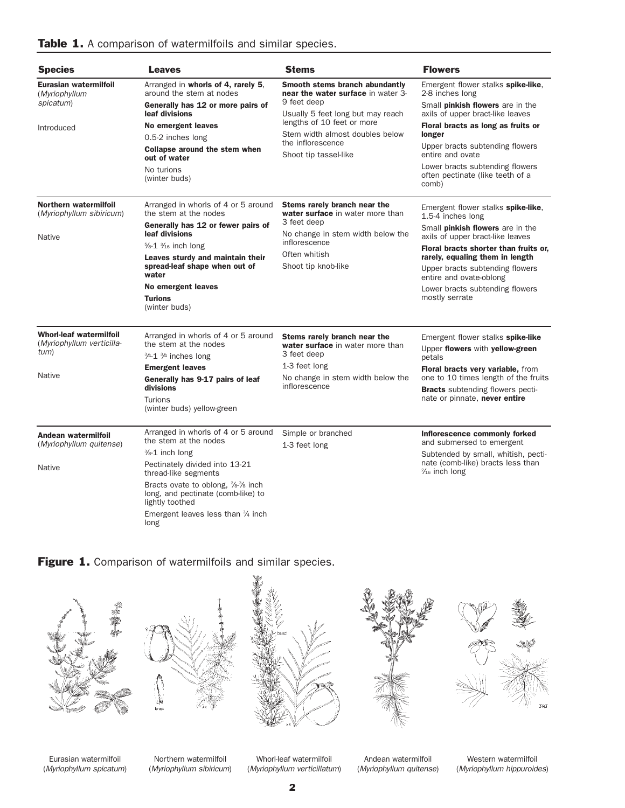|  |  | Table 1. A comparison of watermilfoils and similar species. |  |  |  |  |  |
|--|--|-------------------------------------------------------------|--|--|--|--|--|
|--|--|-------------------------------------------------------------|--|--|--|--|--|

| <b>Species</b>                                                                       | <b>Leaves</b>                                                                                                                                                                                                                                                                                            | <b>Stems</b>                                                                                                                                                                                                                            | <b>Flowers</b>                                                                                                                                                                                                                                                                                                                        |
|--------------------------------------------------------------------------------------|----------------------------------------------------------------------------------------------------------------------------------------------------------------------------------------------------------------------------------------------------------------------------------------------------------|-----------------------------------------------------------------------------------------------------------------------------------------------------------------------------------------------------------------------------------------|---------------------------------------------------------------------------------------------------------------------------------------------------------------------------------------------------------------------------------------------------------------------------------------------------------------------------------------|
| Eurasian watermilfoil<br>(Myriophyllum<br>spicatum)<br>Introduced                    | Arranged in whorls of 4, rarely 5.<br>around the stem at nodes<br>Generally has 12 or more pairs of<br>leaf divisions<br>No emergent leaves<br>0.5-2 inches long<br>Collapse around the stem when<br>out of water<br>No turions<br>(winter buds)                                                         | Smooth stems branch abundantly<br>near the water surface in water 3-<br>9 feet deep<br>Usually 5 feet long but may reach<br>lengths of 10 feet or more<br>Stem width almost doubles below<br>the inflorescence<br>Shoot tip tassel-like | Emergent flower stalks spike-like,<br>2-8 inches long<br>Small <b>pinkish flowers</b> are in the<br>axils of upper bract-like leaves<br>Floral bracts as long as fruits or<br>longer<br>Upper bracts subtending flowers<br>entire and ovate<br>Lower bracts subtending flowers<br>often pectinate (like teeth of a<br>comb)           |
| Northern watermilfoil<br>(Myriophyllum sibiricum)<br>Native                          | Arranged in whorls of 4 or 5 around<br>the stem at the nodes<br>Generally has 12 or fewer pairs of<br>leaf divisions<br>$\frac{5}{8}$ -1 $\frac{3}{16}$ inch long<br>Leaves sturdy and maintain their<br>spread-leaf shape when out of<br>water<br>No emergent leaves<br><b>Turions</b><br>(winter buds) | Stems rarely branch near the<br>water surface in water more than<br>3 feet deep<br>No change in stem width below the<br>inflorescence<br>Often whitish<br>Shoot tip knob-like                                                           | Emergent flower stalks spike-like,<br>1.5-4 inches long<br>Small <b>pinkish flowers</b> are in the<br>axils of upper bract-like leaves<br>Floral bracts shorter than fruits or,<br>rarely, equaling them in length<br>Upper bracts subtending flowers<br>entire and ovate-oblong<br>Lower bracts subtending flowers<br>mostly serrate |
| <b>Whorl-leaf watermilfoil</b><br>(Myriophyllum verticilla-<br>tum)<br><b>Native</b> | Arranged in whorls of 4 or 5 around<br>the stem at the nodes<br>3/4-1 3/4 inches long<br><b>Emergent leaves</b><br>Generally has 9-17 pairs of leaf<br>divisions<br>Turions<br>(winter buds) yellow-green                                                                                                | Stems rarely branch near the<br>water surface in water more than<br>3 feet deep<br>1-3 feet long<br>No change in stem width below the<br>inflorescence                                                                                  | Emergent flower stalks spike-like<br>Upper flowers with yellow-green<br>petals<br>Floral bracts very variable, from<br>one to 10 times length of the fruits<br><b>Bracts</b> subtending flowers pecti-<br>nate or pinnate, never entire                                                                                               |
| Andean watermilfoil<br>(Myriophyllum quitense)<br>Native                             | Arranged in whorls of 4 or 5 around<br>the stem at the nodes<br>%-1 inch long<br>Pectinately divided into 13-21<br>thread-like segments<br>Bracts ovate to oblong, %-% inch<br>long, and pectinate (comb-like) to<br>lightly toothed<br>Emergent leaves less than $\frac{3}{4}$ inch<br>long             | Simple or branched<br>1-3 feet long                                                                                                                                                                                                     | Inflorescence commonly forked<br>and submersed to emergent<br>Subtended by small, whitish, pecti-<br>nate (comb-like) bracts less than<br>$\frac{2}{16}$ inch long                                                                                                                                                                    |





Eurasian watermilfoil (*Myriophyllum spicatum*)

Northern watermilfoil (*Myriophyllum sibiricum*)

Whorl-leaf watermilfoil (*Myriophyllum verticillatum*)

Andean watermilfoil (*Myriophyllum quitense*)

Western watermilfoil (*Myriophyllum hippuroides*)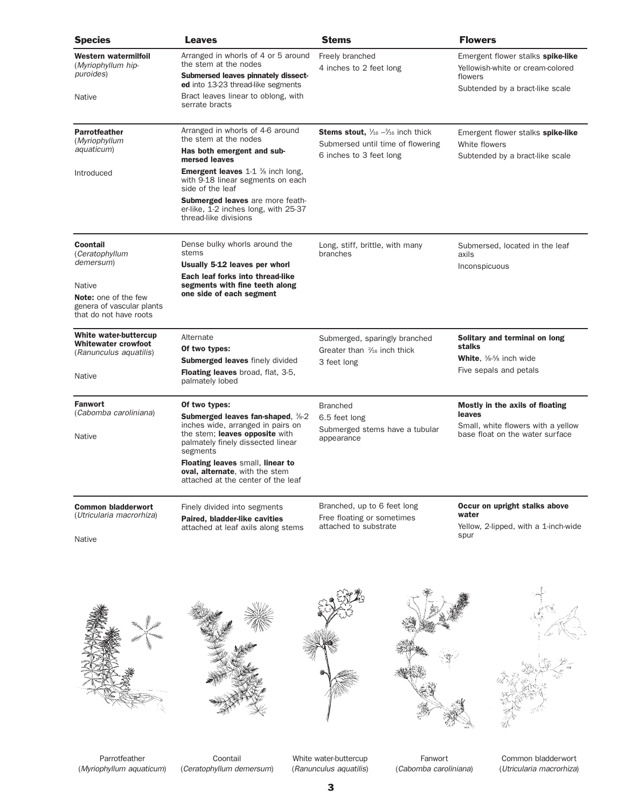| <b>Species</b>                                                                                      | <b>Leaves</b>                                                                                                                                                                                                | <b>Stems</b>                                                                                                                 | <b>Flowers</b>                                                                                                      |
|-----------------------------------------------------------------------------------------------------|--------------------------------------------------------------------------------------------------------------------------------------------------------------------------------------------------------------|------------------------------------------------------------------------------------------------------------------------------|---------------------------------------------------------------------------------------------------------------------|
| Western watermilfoil<br>(Myriophyllum hip-<br>puroides)<br><b>Native</b>                            | Arranged in whorls of 4 or 5 around<br>the stem at the nodes<br>Submersed leaves pinnately dissect-<br>ed into 13-23 thread-like segments<br>Bract leaves linear to oblong, with<br>serrate bracts           | Freely branched<br>4 inches to 2 feet long                                                                                   | Emergent flower stalks spike-like<br>Yellowish-white or cream-colored<br>flowers<br>Subtended by a bract-like scale |
| <b>Parrotfeather</b><br>(Myriophyllum<br>aquaticum)<br>Introduced                                   | Arranged in whorls of 4-6 around<br>the stem at the nodes<br>Has both emergent and sub-<br>mersed leaves<br><b>Emergent leaves</b> 1-1 % inch long,<br>with 9-18 linear segments on each<br>side of the leaf | <b>Stems stout,</b> $\frac{1}{16} - \frac{3}{16}$ inch thick<br>Submersed until time of flowering<br>6 inches to 3 feet long | Emergent flower stalks spike-like<br>White flowers<br>Subtended by a bract-like scale                               |
|                                                                                                     | <b>Submerged leaves</b> are more feath-<br>er-like, 1-2 inches long, with 25-37<br>thread-like divisions                                                                                                     |                                                                                                                              |                                                                                                                     |
| <b>Coontail</b><br>(Ceratophyllum<br>demersum)                                                      | Dense bulky whorls around the<br>stems<br>Usually 5-12 leaves per whorl<br>Each leaf forks into thread-like                                                                                                  | Long, stiff, brittle, with many<br>branches                                                                                  | Submersed, located in the leaf<br>axils<br>Inconspicuous                                                            |
| <b>Native</b><br><b>Note:</b> one of the few<br>genera of vascular plants<br>that do not have roots | segments with fine teeth along<br>one side of each segment                                                                                                                                                   |                                                                                                                              |                                                                                                                     |
| White water-buttercup<br><b>Whitewater crowfoot</b><br>(Ranunculus aquatilis)                       | Alternate<br>Of two types:<br><b>Submerged leaves finely divided</b><br><b>Floating leaves</b> broad, flat, 3-5,                                                                                             | Submerged, sparingly branched<br>Greater than 3/16 inch thick<br>3 feet long                                                 | Solitary and terminal on long<br>stalks<br>White, %% inch wide<br>Five sepals and petals                            |
| <b>Native</b>                                                                                       | palmately lobed                                                                                                                                                                                              |                                                                                                                              |                                                                                                                     |
| <b>Fanwort</b><br>(Cabomba caroliniana)<br><b>Native</b>                                            | Of two types:<br><b>Submerged leaves fan-shaped, 3/8-2</b><br>inches wide, arranged in pairs on<br>the stem; leaves opposite with<br>palmately finely dissected linear<br>segments                           | <b>Branched</b><br>6.5 feet long<br>Submerged stems have a tubular<br>appearance                                             | Mostly in the axils of floating<br>leaves<br>Small, white flowers with a yellow<br>base float on the water surface  |
|                                                                                                     | <b>Floating leaves small, linear to</b><br>oval, alternate, with the stem<br>attached at the center of the leaf                                                                                              |                                                                                                                              |                                                                                                                     |
| <b>Common bladderwort</b><br>(Utricularia macrorhiza)                                               | Finely divided into segments<br>Paired, bladder-like cavities<br>attached at leaf axils along stems                                                                                                          | Branched, up to 6 feet long<br>Free floating or sometimes<br>attached to substrate                                           | Occur on upright stalks above<br>water<br>Yellow, 2-lipped, with a 1-inch-wide                                      |
|                                                                                                     |                                                                                                                                                                                                              |                                                                                                                              | spur                                                                                                                |





Parrotfeather (*Myriophyllum aquaticum*)

Coontail (*Ceratophyllum demersum*)

White water-buttercup (*Ranunculus aquatilis*)

Fanwort (*Cabomba caroliniana*)



Common bladderwort (*Utricularia macrorhiza*)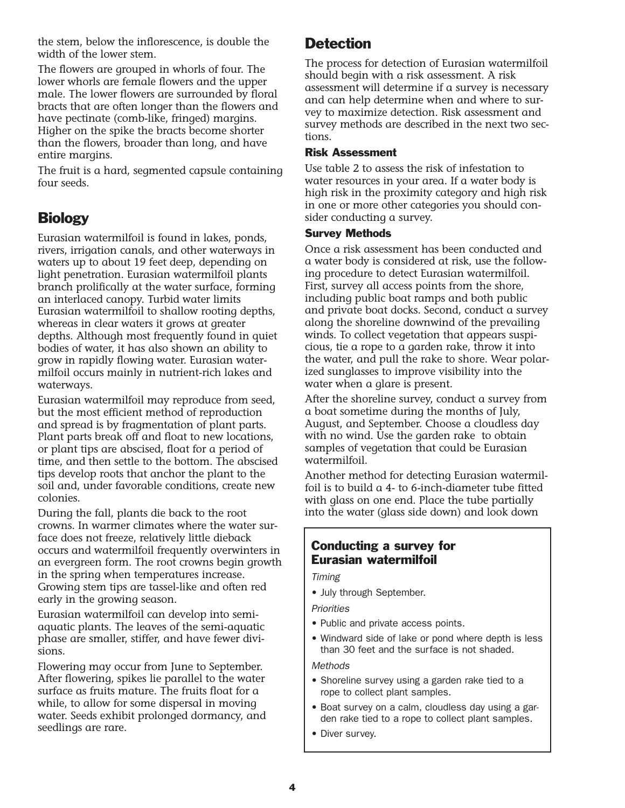the stem, below the inflorescence, is double the width of the lower stem.

The flowers are grouped in whorls of four. The lower whorls are female flowers and the upper male. The lower flowers are surrounded by floral bracts that are often longer than the flowers and have pectinate (comb-like, fringed) margins. Higher on the spike the bracts become shorter than the flowers, broader than long, and have entire margins.

The fruit is a hard, segmented capsule containing four seeds.

## **Biology**

Eurasian watermilfoil is found in lakes, ponds, rivers, irrigation canals, and other waterways in waters up to about 19 feet deep, depending on light penetration. Eurasian watermilfoil plants branch prolifically at the water surface, forming an interlaced canopy. Turbid water limits Eurasian watermilfoil to shallow rooting depths, whereas in clear waters it grows at greater depths. Although most frequently found in quiet bodies of water, it has also shown an ability to grow in rapidly flowing water. Eurasian watermilfoil occurs mainly in nutrient-rich lakes and waterways.

Eurasian watermilfoil may reproduce from seed, but the most efficient method of reproduction and spread is by fragmentation of plant parts. Plant parts break off and float to new locations, or plant tips are abscised, float for a period of time, and then settle to the bottom. The abscised tips develop roots that anchor the plant to the soil and, under favorable conditions, create new colonies.

During the fall, plants die back to the root crowns. In warmer climates where the water surface does not freeze, relatively little dieback occurs and watermilfoil frequently overwinters in an evergreen form. The root crowns begin growth in the spring when temperatures increase. Growing stem tips are tassel-like and often red early in the growing season.

Eurasian watermilfoil can develop into semiaquatic plants. The leaves of the semi-aquatic phase are smaller, stiffer, and have fewer divisions.

Flowering may occur from June to September. After flowering, spikes lie parallel to the water surface as fruits mature. The fruits float for a while, to allow for some dispersal in moving water. Seeds exhibit prolonged dormancy, and seedlings are rare.

## **Detection**

The process for detection of Eurasian watermilfoil should begin with a risk assessment. A risk assessment will determine if a survey is necessary and can help determine when and where to survey to maximize detection. Risk assessment and survey methods are described in the next two sections.

#### Risk Assessment

Use table 2 to assess the risk of infestation to water resources in your area. If a water body is high risk in the proximity category and high risk in one or more other categories you should consider conducting a survey.

#### Survey Methods

Once a risk assessment has been conducted and a water body is considered at risk, use the following procedure to detect Eurasian watermilfoil. First, survey all access points from the shore, including public boat ramps and both public and private boat docks. Second, conduct a survey along the shoreline downwind of the prevailing winds. To collect vegetation that appears suspicious, tie a rope to a garden rake, throw it into the water, and pull the rake to shore. Wear polarized sunglasses to improve visibility into the water when a glare is present.

After the shoreline survey, conduct a survey from a boat sometime during the months of July, August, and September. Choose a cloudless day with no wind. Use the garden rake to obtain samples of vegetation that could be Eurasian watermilfoil.

Another method for detecting Eurasian watermilfoil is to build a 4- to 6-inch-diameter tube fitted with glass on one end. Place the tube partially into the water (glass side down) and look down

#### Conducting a survey for Eurasian watermilfoil

*Timing*

• July through September.

*Priorities*

- Public and private access points.
- Windward side of lake or pond where depth is less than 30 feet and the surface is not shaded.

*Methods*

- Shoreline survey using a garden rake tied to a rope to collect plant samples.
- Boat survey on a calm, cloudless day using a garden rake tied to a rope to collect plant samples.
- Diver survey.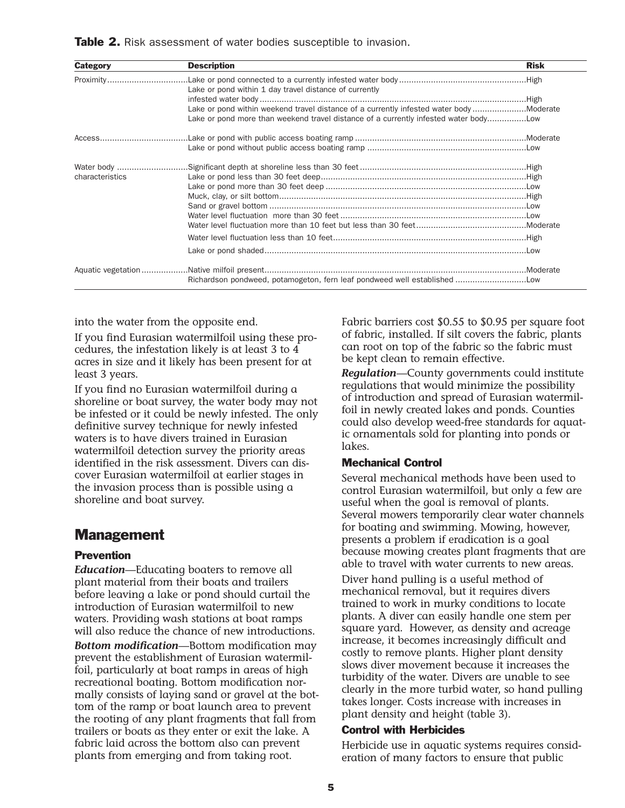**Table 2.** Risk assessment of water bodies susceptible to invasion.

| <b>Category</b> | <b>Description</b>                                                                     | <b>Risk</b> |
|-----------------|----------------------------------------------------------------------------------------|-------------|
|                 | Lake or pond within 1 day travel distance of currently                                 |             |
|                 |                                                                                        |             |
|                 | Lake or pond within weekend travel distance of a currently infested water bodyModerate |             |
|                 | Lake or pond more than weekend travel distance of a currently infested water body      |             |
|                 |                                                                                        |             |
|                 |                                                                                        |             |
|                 |                                                                                        |             |
| characteristics |                                                                                        |             |
|                 |                                                                                        |             |
|                 |                                                                                        |             |
|                 |                                                                                        |             |
|                 |                                                                                        |             |
|                 |                                                                                        |             |
|                 |                                                                                        |             |
|                 |                                                                                        |             |
|                 |                                                                                        |             |
|                 |                                                                                        |             |

into the water from the opposite end.

If you find Eurasian watermilfoil using these procedures, the infestation likely is at least 3 to 4 acres in size and it likely has been present for at least 3 years.

If you find no Eurasian watermilfoil during a shoreline or boat survey, the water body may not be infested or it could be newly infested. The only definitive survey technique for newly infested waters is to have divers trained in Eurasian watermilfoil detection survey the priority areas identified in the risk assessment. Divers can discover Eurasian watermilfoil at earlier stages in the invasion process than is possible using a shoreline and boat survey.

### Management

#### Prevention

*Education*—Educating boaters to remove all plant material from their boats and trailers before leaving a lake or pond should curtail the introduction of Eurasian watermilfoil to new waters. Providing wash stations at boat ramps will also reduce the chance of new introductions. *Bottom modification*—Bottom modification may prevent the establishment of Eurasian watermilfoil, particularly at boat ramps in areas of high recreational boating. Bottom modification normally consists of laying sand or gravel at the bottom of the ramp or boat launch area to prevent the rooting of any plant fragments that fall from trailers or boats as they enter or exit the lake. A fabric laid across the bottom also can prevent plants from emerging and from taking root.

Fabric barriers cost \$0.55 to \$0.95 per square foot of fabric, installed. If silt covers the fabric, plants can root on top of the fabric so the fabric must be kept clean to remain effective.

*Regulation*—County governments could institute regulations that would minimize the possibility of introduction and spread of Eurasian watermilfoil in newly created lakes and ponds. Counties could also develop weed-free standards for aquatic ornamentals sold for planting into ponds or lakes.

#### Mechanical Control

Several mechanical methods have been used to control Eurasian watermilfoil, but only a few are useful when the goal is removal of plants. Several mowers temporarily clear water channels for boating and swimming. Mowing, however, presents a problem if eradication is a goal because mowing creates plant fragments that are able to travel with water currents to new areas.

Diver hand pulling is a useful method of mechanical removal, but it requires divers trained to work in murky conditions to locate plants. A diver can easily handle one stem per square yard. However, as density and acreage increase, it becomes increasingly difficult and costly to remove plants. Higher plant density slows diver movement because it increases the turbidity of the water. Divers are unable to see clearly in the more turbid water, so hand pulling takes longer. Costs increase with increases in plant density and height (table 3).

#### Control with Herbicides

Herbicide use in aquatic systems requires consideration of many factors to ensure that public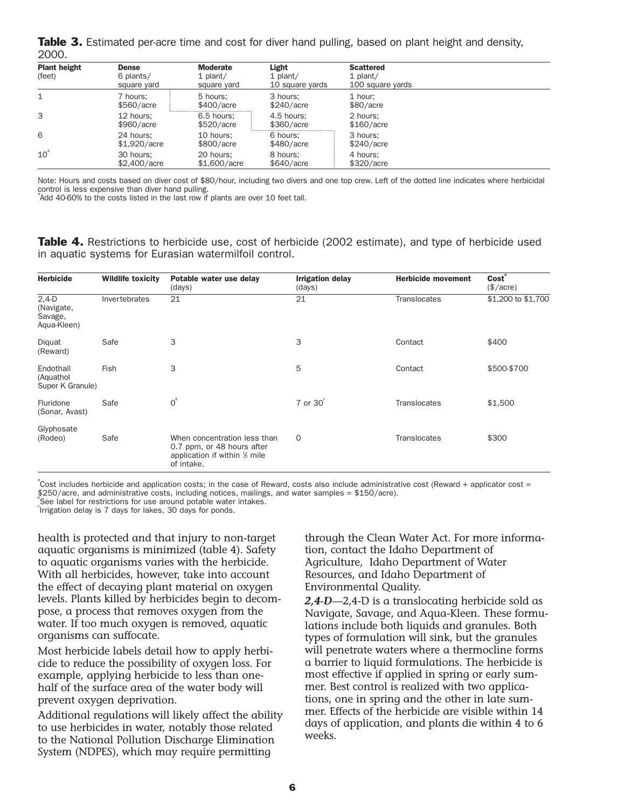**Table 3.** Estimated per-acre time and cost for diver hand pulling, based on plant height and density, 2000.

| <b>Plant height</b><br>(feet) | <b>Dense</b><br>6 plants/<br>square yard | <b>Moderate</b><br>$1$ plant/<br>square yard | Light<br>$1$ plant/<br>10 square yards | <b>Scattered</b><br>$1$ plant/<br>100 square yards |  |
|-------------------------------|------------------------------------------|----------------------------------------------|----------------------------------------|----------------------------------------------------|--|
|                               | 7 hours:<br>\$560/acre                   | 5 hours:<br>\$400/acre                       | 3 hours:<br>\$240/acre                 | 1 hour:<br>\$80/acre                               |  |
| 3                             | 12 hours:<br>\$960/acre                  | 6.5 hours:<br>\$520/accre                    | 4.5 hours:<br>\$360/acre               | 2 hours;<br>\$160/acre                             |  |
| 6                             | 24 hours:<br>\$1,920/acre                | 10 hours:<br>\$800/acre                      | 6 hours:<br>\$480/acre                 | 3 hours:<br>\$240/accre                            |  |
| $10^{\degree}$                | 30 hours:<br>\$2,400/acre                | 20 hours:<br>\$1,600/acre                    | 8 hours:<br>\$640/acre                 | 4 hours:<br>\$320/accre                            |  |

Note: Hours and costs based on diver cost of \$80/hour, including two divers and one top crew. Left of the dotted line indicates where herbicidal control is less expensive than diver hand pulling. a

Add 40-60% to the costs listed in the last row if plants are over 10 feet tall.

**Table 4.** Restrictions to herbicide use, cost of herbicide (2002 estimate), and type of herbicide used in aquatic systems for Eurasian watermilfoil control.

| <b>Herbicide</b>                                | <b>Wildlife toxicity</b> | Potable water use delay<br>(days)                                                                          | <b>Irrigation delay</b><br>(days) | <b>Herbicide movement</b> | Cost <sup>®</sup><br>$(\$/acre)$ |
|-------------------------------------------------|--------------------------|------------------------------------------------------------------------------------------------------------|-----------------------------------|---------------------------|----------------------------------|
| $2,4-D$<br>(Navigate,<br>Savage,<br>Aqua-Kleen) | Invertebrates            | 21                                                                                                         | 21                                | <b>Translocates</b>       | \$1,200 to \$1,700               |
| Diguat<br>(Reward)                              | Safe                     | 3                                                                                                          | 3                                 | Contact                   | \$400                            |
| Endothall<br>(Aquathol<br>Super K Granule)      | <b>Fish</b>              | 3                                                                                                          | 5                                 | Contact                   | \$500-\$700                      |
| Fluridone<br>(Sonar, Avast)                     | Safe                     | O <sup>b</sup>                                                                                             | $7$ or $30^\circ$                 | <b>Translocates</b>       | \$1,500                          |
| Glyphosate<br>(Rodeo)                           | Safe                     | When concentration less than<br>0.7 ppm, or 48 hours after<br>application if within 1/2 mile<br>of intake. | $\circ$                           | <b>Translocates</b>       | \$300                            |

<sup>®</sup>Cost includes herbicide and application costs; in the case of Reward, costs also include administrative cost (Reward + applicator cost = \$250/acre, and administrative costs, including notices, mailings, and water samples = \$150/acre).

See label for restrictions for use around potable water intakes.

c Irrigation delay is 7 days for lakes, 30 days for ponds.

health is protected and that injury to non-target aquatic organisms is minimized (table 4). Safety to aquatic organisms varies with the herbicide. With all herbicides, however, take into account the effect of decaying plant material on oxygen levels. Plants killed by herbicides begin to decompose, a process that removes oxygen from the water. If too much oxygen is removed, aquatic organisms can suffocate.

Most herbicide labels detail how to apply herbicide to reduce the possibility of oxygen loss. For example, applying herbicide to less than onehalf of the surface area of the water body will prevent oxygen deprivation.

Additional regulations will likely affect the ability to use herbicides in water, notably those related to the National Pollution Discharge Elimination System (NDPES), which may require permitting

through the Clean Water Act. For more information, contact the Idaho Department of Agriculture, Idaho Department of Water Resources, and Idaho Department of Environmental Quality.

*2,4-D*—2,4-D is a translocating herbicide sold as Navigate, Savage, and Aqua-Kleen. These formulations include both liquids and granules. Both types of formulation will sink, but the granules will penetrate waters where a thermocline forms a barrier to liquid formulations. The herbicide is most effective if applied in spring or early summer. Best control is realized with two applications, one in spring and the other in late summer. Effects of the herbicide are visible within 14 days of application, and plants die within 4 to 6 weeks.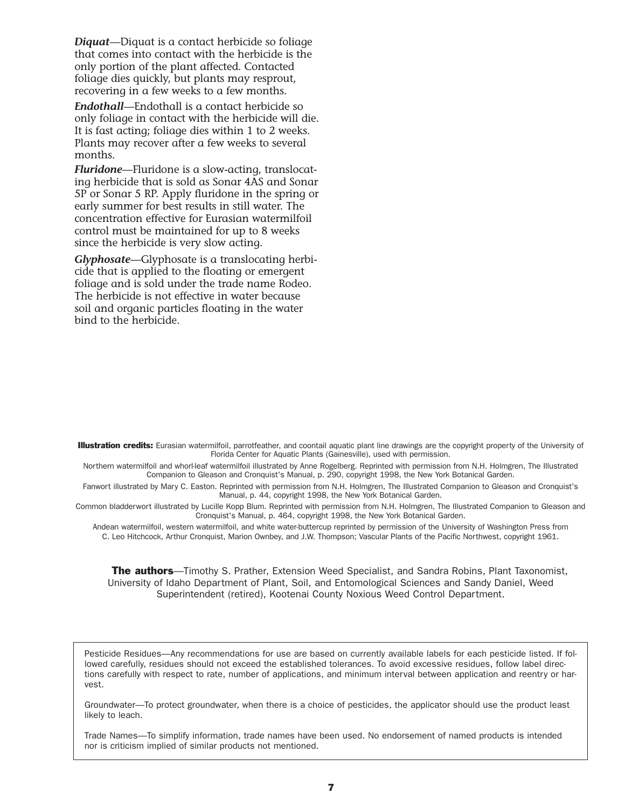*Diquat*—Diquat is a contact herbicide so foliage that comes into contact with the herbicide is the only portion of the plant affected. Contacted foliage dies quickly, but plants may resprout, recovering in a few weeks to a few months.

*Endothall*—Endothall is a contact herbicide so only foliage in contact with the herbicide will die. It is fast acting; foliage dies within 1 to 2 weeks. Plants may recover after a few weeks to several months.

*Fluridone*—Fluridone is a slow-acting, translocating herbicide that is sold as Sonar 4AS and Sonar 5P or Sonar 5 RP. Apply fluridone in the spring or early summer for best results in still water. The concentration effective for Eurasian watermilfoil control must be maintained for up to 8 weeks since the herbicide is very slow acting.

*Glyphosate*—Glyphosate is a translocating herbicide that is applied to the floating or emergent foliage and is sold under the trade name Rodeo. The herbicide is not effective in water because soil and organic particles floating in the water bind to the herbicide.

Illustration credits: Eurasian watermilfoil, parrotfeather, and coontail aquatic plant line drawings are the copyright property of the University of Florida Center for Aquatic Plants (Gainesville), used with permission.

Northern watermilfoil and whorl-leaf watermilfoil illustrated by Anne Rogelberg. Reprinted with permission from N.H. Holmgren, The Illustrated Companion to Gleason and Cronquist's Manual, p. 290, copyright 1998, the New York Botanical Garden.

Fanwort illustrated by Mary C. Easton. Reprinted with permission from N.H. Holmgren, The Illustrated Companion to Gleason and Cronquist's Manual, p. 44, copyright 1998, the New York Botanical Garden.

Common bladderwort illustrated by Lucille Kopp Blum. Reprinted with permission from N.H. Holmgren, The Illustrated Companion to Gleason and Cronquist's Manual, p. 464, copyright 1998, the New York Botanical Garden.

Andean watermilfoil, western watermilfoil, and white water-buttercup reprinted by permission of the University of Washington Press from C. Leo Hitchcock, Arthur Cronquist, Marion Ownbey, and J.W. Thompson; Vascular Plants of the Pacific Northwest, copyright 1961.

**The authors**—Timothy S. Prather, Extension Weed Specialist, and Sandra Robins, Plant Taxonomist, University of Idaho Department of Plant, Soil, and Entomological Sciences and Sandy Daniel, Weed Superintendent (retired), Kootenai County Noxious Weed Control Department.

Pesticide Residues—Any recommendations for use are based on currently available labels for each pesticide listed. If followed carefully, residues should not exceed the established tolerances. To avoid excessive residues, follow label directions carefully with respect to rate, number of applications, and minimum interval between application and reentry or harvest.

Groundwater—To protect groundwater, when there is a choice of pesticides, the applicator should use the product least likely to leach.

Trade Names—To simplify information, trade names have been used. No endorsement of named products is intended nor is criticism implied of similar products not mentioned.